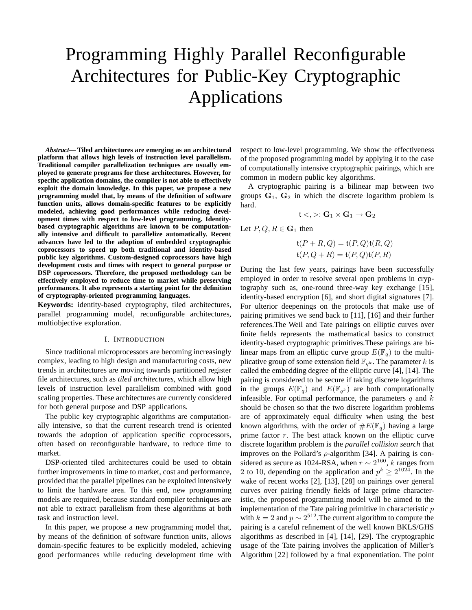# Programming Highly Parallel Reconfigurable Architectures for Public-Key Cryptographic Applications

*Abstract***— Tiled architectures are emerging as an architectural platform that allows high levels of instruction level parallelism. Traditional compiler parallelization techniques are usually employed to generate programs for these architectures. However, for specific application domains, the compiler is not able to effectively exploit the domain knowledge. In this paper, we propose a new programming model that, by means of the definition of software function units, allows domain-specific features to be explicitly modeled, achieving good performances while reducing development times with respect to low-level programming. Identitybased cryptographic algorithms are known to be computationally intensive and difficult to parallelize automatically. Recent advances have led to the adoption of embedded cryptographic coprocessors to speed up both traditional and identity-based public key algorithms. Custom-designed coprocessors have high development costs and times with respect to general purpose or DSP coprocessors. Therefore, the proposed methodology can be effectively employed to reduce time to market while preserving performances. It also represents a starting point for the definition of cryptography-oriented programming languages.**

**Keywords:** identity-based cryptography, tiled architectures, parallel programming model, reconfigurable architectures, multiobjective exploration.

# I. INTRODUCTION

Since traditional microprocessors are becoming increasingly complex, leading to high design and manufacturing costs, new trends in architectures are moving towards partitioned register file architectures, such as *tiled architectures*, which allow high levels of instruction level parallelism combined with good scaling properties. These architectures are currently considered for both general purpose and DSP applications.

The public key cryptographic algorithms are computationally intensive, so that the current research trend is oriented towards the adoption of application specific coprocessors, often based on reconfigurable hardware, to reduce time to market.

DSP-oriented tiled architectures could be used to obtain further improvements in time to market, cost and performance, provided that the parallel pipelines can be exploited intensively to limit the hardware area. To this end, new programming models are required, because standard compiler techniques are not able to extract parallelism from these algorithms at both task and instruction level.

In this paper, we propose a new programming model that, by means of the definition of software function units, allows domain-specific features to be explicitly modeled, achieving good performances while reducing development time with respect to low-level programming. We show the effectiveness of the proposed programming model by applying it to the case of computationally intensive cryptographic pairings, which are common in modern public key algorithms.

A cryptographic pairing is a bilinear map between two groups  $G_1$ ,  $G_2$  in which the discrete logarithm problem is hard.

$$
\mathfrak{t} <,>: \mathbf{G}_1 \times \mathbf{G}_1 \rightarrow \mathbf{G}_2
$$

Let  $P, Q, R \in \mathbf{G}_1$  then

$$
\mathfrak{t}(P+R,Q) = \mathfrak{t}(P,Q)\mathfrak{t}(R,Q)
$$

$$
\mathfrak{t}(P,Q+R) = \mathfrak{t}(P,Q)\mathfrak{t}(P,R)
$$

During the last few years, pairings have been successfully employed in order to resolve several open problems in cryptography such as, one-round three-way key exchange [15], identity-based encryption [6], and short digital signatures [7]. For ulterior deepenings on the protocols that make use of pairing primitives we send back to [11], [16] and their further references.The Weil and Tate pairings on elliptic curves over finite fields represents the mathematical basics to construct identity-based cryptographic primitives.These pairings are bilinear maps from an elliptic curve group  $E(\mathbb{F}_q)$  to the multiplicative group of some extension field  $\mathbb{F}_{q^k}$ . The parameter k is called the embedding degree of the elliptic curve [4], [14]. The pairing is considered to be secure if taking discrete logarithms in the groups  $E(\mathbb{F}_q)$  and  $E(\mathbb{F}_{q^k})$  are both computationally infeasible. For optimal performance, the parameters  $q$  and  $k$ should be chosen so that the two discrete logarithm problems are of approximately equal difficulty when using the best known algorithms, with the order of  $\#E(\mathbb{F}_q)$  having a large prime factor  $r$ . The best attack known on the elliptic curve discrete logarithm problem is the *parallel collision search* that improves on the Pollard's  $\rho$ -algorithm [34]. A pairing is considered as secure as 1024-RSA, when  $r \sim 2^{160}$ , k ranges from 2 to 10, depending on the application and  $p^k \ge 2^{1024}$ . In the wake of recent works [2], [13], [28] on pairings over general curves over pairing friendly fields of large prime characteristic, the proposed programming model will be aimed to the implementation of the Tate pairing primitive in characteristic  $p$ with  $k = 2$  and  $p \sim 2^{512}$ . The current algorithm to compute the pairing is a careful refinement of the well known BKLS/GHS algorithms as described in [4], [14], [29]. The cryptographic usage of the Tate pairing involves the application of Miller's Algorithm [22] followed by a final exponentiation. The point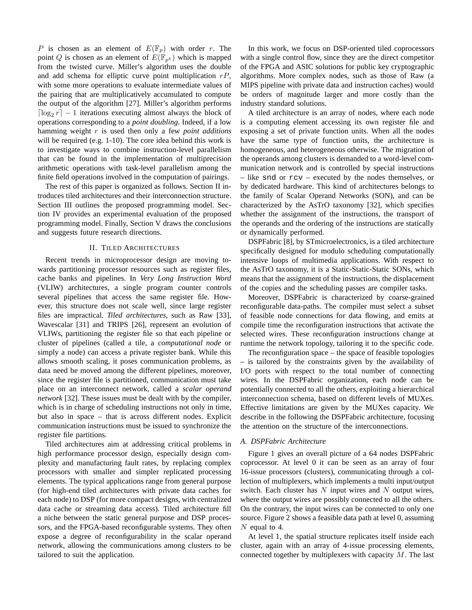P is chosen as an element of  $E(\mathbb{F}_p)$  with order r. The point Q is chosen as an element of  $E(\mathbb{F}_{p^k})$  which is mapped from the twisted curve. Miller's algorithm uses the double and add schema for elliptic curve point multiplication  $rP$ , with some more operations to evaluate intermediate values of the pairing that are multiplicatively accumulated to compute the output of the algorithm [27]. Miller's algorithm performs  $\lceil \log_2 r \rceil - 1$  iterations executing almost always the block of operations corresponding to a *point doubling*. Indeed, if a low hamming weight r is used then only a few *point additions* will be required (e.g. 1-10). The core idea behind this work is to investigate ways to combine instruction-level parallelism that can be found in the implementation of multiprecision arithmetic operations with task-level parallelism among the finite field operations involved in the computation of pairings.

The rest of this paper is organized as follows. Section II introduces tiled architectures and their interconnection structure. Section III outlines the proposed programming model. Section IV provides an experimental evaluation of the proposed programming model. Finally, Section V draws the conclusions and suggests future research directions.

#### II. TILED ARCHITECTURES

Recent trends in microprocessor design are moving towards partitioning processor resources such as register files, cache banks and pipelines. In *Very Long Instruction Word* (VLIW) architectures, a single program counter controls several pipelines that access the same register file. However, this structure does not scale well, since large register files are impractical. *Tiled architectures*, such as Raw [33], Wavescalar [31] and TRIPS [26], represent an evolution of VLIWs, partitioning the register file so that each pipeline or cluster of pipelines (called a tile, a *computational node* or simply a node) can access a private register bank. While this allows smooth scaling, it poses communication problems, as data need be moved among the different pipelines, moreover, since the register file is partitioned, communication must take place on an interconnect network, called a *scalar operand network* [32]. These issues must be dealt with by the compiler, which is in charge of scheduling instructions not only in time, but also in space – that is across different nodes. Explicit communication instructions must be issued to synchronize the register file partitions.

Tiled architectures aim at addressing critical problems in high performance processor design, especially design complexity and manufacturing fault rates, by replacing complex processors with smaller and simpler replicated processing elements. The typical applications range from general purpose (for high-end tiled architectures with private data caches for each node) to DSP (for more compact designs, with centralized data cache or streaming data access). Tiled architecture fill a niche between the static general purpose and DSP processors, and the FPGA-based reconfigurable systems. They often expose a degree of reconfigurability in the scalar operand network, allowing the communications among clusters to be tailored to suit the application.

In this work, we focus on DSP-oriented tiled coprocessors with a single control flow, since they are the direct competitor of the FPGA and ASIC solutions for public key cryptographic algorithms. More complex nodes, such as those of Raw (a MIPS pipeline with private data and instruction caches) would be orders of magnitude larger and more costly than the industry standard solutions.

A tiled architecture is an array of nodes, where each node is a computing element accessing its own register file and exposing a set of private function units. When all the nodes have the same type of function units, the architecture is homogeneous, and heterogeneous otherwise. The migration of the operands among clusters is demanded to a word-level communication network and is controlled by special instructions – like snd or rcv – executed by the nodes themselves, or by dedicated hardware. This kind of architectures belongs to the family of Scalar Operand Networks (SON), and can be characterized by the AsTrO taxonomy [32], which specifies whether the assignment of the instructions, the transport of the operands and the ordering of the instructions are statically or dynamically performed.

DSPFabric [8], by STmicroelectronics, is a tiled architecture specifically designed for modulo scheduling computationally intensive loops of multimedia applications. With respect to the AsTrO taxonomy, it is a Static-Static-Static SONs, which means that the assignment of the instructions, the displacement of the copies and the scheduling passes are compiler tasks.

Moreover, DSPFabric is characterized by coarse-grained reconfigurable data-paths. The compiler must select a subset of feasible node connections for data flowing, and emits at compile time the reconfiguration instructions that activate the selected wires. These reconfiguration instructions change at runtime the network topology, tailoring it to the specific code.

The reconfiguration space – the space of feasible topologies – is tailored by the constraints given by the availability of I/O ports with respect to the total number of connecting wires. In the DSPFabric organization, each node can be potentially connected to all the others, exploiting a hierarchical interconnection schema, based on different levels of MUXes. Effective limitations are given by the MUXes capacity. We describe in the following the DSPFabric architecture, focusing the attention on the structure of the interconnections.

# *A. DSPFabric Architecture*

Figure 1 gives an overall picture of a 64 nodes DSPFabric coprocessor. At level 0 it can be seen as an array of four 16-issue processors (clusters), communicating through a collection of multiplexers, which implements a multi input/output switch. Each cluster has  $N$  input wires and  $N$  output wires, where the output wires are possibly connected to all the others. On the contrary, the input wires can be connected to only one source. Figure 2 shows a feasible data path at level 0, assuming N equal to 4.

At level 1, the spatial structure replicates itself inside each cluster, again with an array of 4-issue processing elements, connected together by multiplexers with capacity  $M$ . The last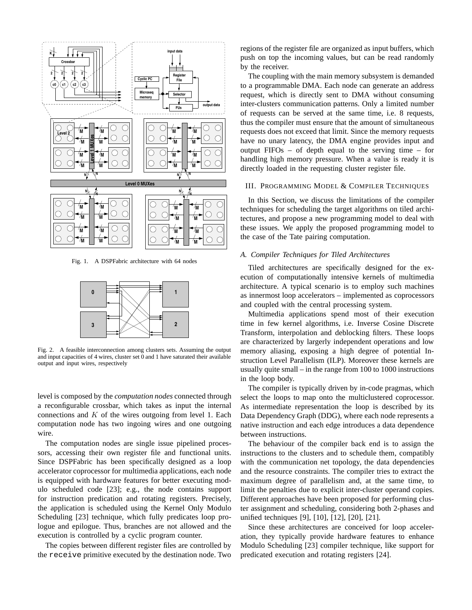

Fig. 1. A DSPFabric architecture with 64 nodes



Fig. 2. A feasible interconnection among clusters sets. Assuming the output and input capacities of 4 wires, cluster set 0 and 1 have saturated their available output and input wires, respectively

level is composed by the *computation nodes* connected through a reconfigurable crossbar, which takes as input the internal connections and  $K$  of the wires outgoing from level 1. Each computation node has two ingoing wires and one outgoing wire.

The computation nodes are single issue pipelined processors, accessing their own register file and functional units. Since DSPFabric has been specifically designed as a loop accelerator coprocessor for multimedia applications, each node is equipped with hardware features for better executing modulo scheduled code [23]; e.g., the node contains support for instruction predication and rotating registers. Precisely, the application is scheduled using the Kernel Only Modulo Scheduling [23] technique, which fully predicates loop prologue and epilogue. Thus, branches are not allowed and the execution is controlled by a cyclic program counter.

The copies between different register files are controlled by the receive primitive executed by the destination node. Two regions of the register file are organized as input buffers, which push on top the incoming values, but can be read randomly by the receiver.

The coupling with the main memory subsystem is demanded to a programmable DMA. Each node can generate an address request, which is directly sent to DMA without consuming inter-clusters communication patterns. Only a limited number of requests can be served at the same time, i.e. 8 requests, thus the compiler must ensure that the amount of simultaneous requests does not exceed that limit. Since the memory requests have no unary latency, the DMA engine provides input and output FIFOs – of depth equal to the serving time – for handling high memory pressure. When a value is ready it is directly loaded in the requesting cluster register file.

### III. PROGRAMMING MODEL & COMPILER TECHNIQUES

In this Section, we discuss the limitations of the compiler techniques for scheduling the target algorithms on tiled architectures, and propose a new programming model to deal with these issues. We apply the proposed programming model to the case of the Tate pairing computation.

# *A. Compiler Techniques for Tiled Architectures*

Tiled architectures are specifically designed for the execution of computationally intensive kernels of multimedia architecture. A typical scenario is to employ such machines as innermost loop accelerators – implemented as coprocessors and coupled with the central processing system.

Multimedia applications spend most of their execution time in few kernel algorithms, i.e. Inverse Cosine Discrete Transform, interpolation and deblocking filters. These loops are characterized by largerly independent operations and low memory aliasing, exposing a high degree of potential Instruction Level Parallelism (ILP). Moreover these kernels are usually quite small – in the range from 100 to 1000 instructions in the loop body.

The compiler is typically driven by in-code pragmas, which select the loops to map onto the multiclustered coprocessor. As intermediate representation the loop is described by its Data Dependency Graph (DDG), where each node represents a native instruction and each edge introduces a data dependence between instructions.

The behaviour of the compiler back end is to assign the instructions to the clusters and to schedule them, compatibly with the communication net topology, the data dependencies and the resource constraints. The compiler tries to extract the maximum degree of parallelism and, at the same time, to limit the penalties due to explicit inter-cluster operand copies. Different approaches have been proposed for performing cluster assignment and scheduling, considering both 2-phases and unified techniques [9], [10], [12], [20], [21].

Since these architectures are conceived for loop acceleration, they typically provide hardware features to enhance Modulo Scheduling [23] compiler technique, like support for predicated execution and rotating registers [24].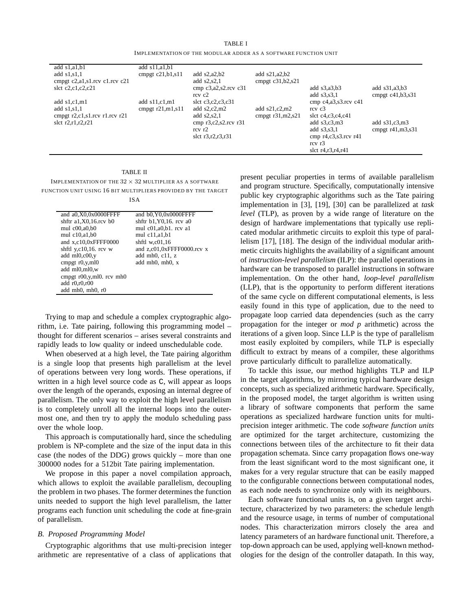| TABLE I                                                         |  |
|-----------------------------------------------------------------|--|
| IMPLEMENTATION OF THE MODULAR ADDER AS A SOFTWARE FUNCTION UNIT |  |

 $\cdots$ 

| add $s1$ , al, b $1$                    | add $s11,a1,b1$              |                                    |                         |                                    |                      |
|-----------------------------------------|------------------------------|------------------------------------|-------------------------|------------------------------------|----------------------|
| add $s1, s1, 1$                         | cmpgt $c21,b1,s11$           | add $s2$ , $a2$ , $b2$             | add $s21$ , $a2$ , $b2$ |                                    |                      |
| cmpgt $c2$ , al, sl.rcv $c1$ .rcv $c21$ |                              | add $s2$ , $s2$ , $1$              | cmpgt $c31,b2,s21$      |                                    |                      |
| slct $c2,c1,c2,c21$                     |                              | cmp $c3$ , $a2$ , $s2$ . rcv $c31$ |                         | add $s3$ , $a3$ , $b3$             | add $s31, a3, b3$    |
|                                         |                              | rcv c2                             |                         | add $s3, s3, 1$                    | cmpgt $c41,b3,s31$   |
| add $sl.c1.m1$                          | add $s11,c1,m1$              | slct c3, c2, c3, c31               |                         | cmp $c4$ , $a3$ , $s3$ , rcv $c41$ |                      |
| add $s1, s1, 1$                         | cmpgt $r21$ , m $1$ , s $11$ | add $s2,c2,m2$                     | add $s21,c2,m2$         | rcv c3                             |                      |
| cmpgt $r2, c1, s1$ .rcv $r1$ .rcv $r21$ |                              | add $s2$ , $s2$ , $1$              | cmpgt $r31,m2,s21$      | slct c4,c3,c4,c41                  |                      |
| slct $r2, r1, r2, r21$                  |                              | cmp r3,c2,s2.rcv r31               |                         | add $s3,c3,m3$                     | add $s31,c3,m3$      |
|                                         |                              | $rcv$ $r2$                         |                         | add $s3, s3, 1$                    | cmpgt $r41, m3, s31$ |
|                                         |                              | slct $r3,r2,r3,r31$                |                         | cmp $r4, c3, s3$ .rcv $r41$        |                      |
|                                         |                              |                                    |                         | $rcv$ r <sup>3</sup>               |                      |
|                                         |                              |                                    |                         | slct $r4,r3,r4,r41$                |                      |

# TABLE II

IMPLEMENTATION OF THE  $32 \times 32$  MULTIPLIER AS A SOFTWARE FUNCTION UNIT USING 16 BIT MULTIPLIERS PROVIDED BY THE TARGET ISA

| and a0,X0,0x0000FFFF             | and b0, Y0,0x0000FFFF                 |
|----------------------------------|---------------------------------------|
| shftr $a1,X0,16$ .rcv b0         | shftr $b1, Y0, 16$ . rcv a0           |
| mul $c00$ , a $0$ , b $0$        | mul $c01$ , a $0$ , b $1$ . rcv a $1$ |
| mul $c10$ , al, b $0$            | mul $c11$ , a $1$ , b $1$             |
| and x.c10.0xFFFF0000             | shftl w,c $01,16$                     |
| shftl y,c $10,16$ . rcv w        | and z,c01,0xFFFF0000.rcv x            |
| add $ml0,c00,y$                  | add mh $0$ , c $11$ , z               |
| cmpgt $r0, y, ml0$               | add mh0, mh0, x                       |
| add ml0,ml0,w                    |                                       |
| cmpgt $r00, y, ml0$ . rcv mh $0$ |                                       |
| add $r0,r0,r00$                  |                                       |
| add mh0, mh0, r0                 |                                       |

Trying to map and schedule a complex cryptographic algorithm, i.e. Tate pairing, following this programming model – thought for different scenarios – arises several constraints and rapidly leads to low quality or indeed unschedulable code.

When obeserved at a high level, the Tate pairing algorithm is a single loop that presents high parallelism at the level of operations between very long words. These operations, if written in a high level source code as C, will appear as loops over the length of the operands, exposing an internal degree of parallelism. The only way to exploit the high level parallelism is to completely unroll all the internal loops into the outermost one, and then try to apply the modulo scheduling pass over the whole loop.

This approach is computationally hard, since the scheduling problem is NP-complete and the size of the input data in this case (the nodes of the DDG) grows quickly – more than one 300000 nodes for a 512bit Tate pairing implementation.

We propose in this paper a novel compilation approach, which allows to exploit the available parallelism, decoupling the problem in two phases. The former determines the function units needed to support the high level parallelism, the latter programs each function unit scheduling the code at fine-grain of parallelism.

### *B. Proposed Programming Model*

Cryptographic algorithms that use multi-precision integer arithmetic are representative of a class of applications that

present peculiar properties in terms of available parallelism and program structure. Specifically, computationally intensive public key cryptographic algorithms such as the Tate pairing implementation in [3], [19], [30] can be parallelized at *task level* (TLP), as proven by a wide range of literature on the design of hardware implementations that typically use replicated modular arithmetic circuits to exploit this type of parallelism [17], [18]. The design of the individual modular arithmetic circuits highlights the availability of a significant amount of *instruction-level parallelism* (ILP): the parallel operations in hardware can be transposed to parallel instructions in software implementation. On the other hand, *loop-level parallelism* (LLP), that is the opportunity to perform different iterations of the same cycle on different computational elements, is less easily found in this type of application, due to the need to propagate loop carried data dependencies (such as the carry propagation for the integer or *mod p* arithmetic) across the iterations of a given loop. Since LLP is the type of parallelism most easily exploited by compilers, while TLP is especially difficult to extract by means of a compiler, these algorithms prove particularly difficult to parallelize automatically.

To tackle this issue, our method highlights TLP and ILP in the target algorithms, by mirroring typical hardware design concepts, such as specialized arithmetic hardware. Specifically, in the proposed model, the target algorithm is written using a library of software components that perform the same operations as specialized hardware function units for multiprecision integer arithmetic. The code *software function units* are optimized for the target architecture, customizing the connections between tiles of the architecture to fit their data propagation schemata. Since carry propagation flows one-way from the least significant word to the most significant one, it makes for a very regular structure that can be easily mapped to the configurable connections between computational nodes, as each node needs to synchronize only with its neighbours.

Each software functional units is, on a given target architecture, characterized by two parameters: the schedule length and the resource usage, in terms of number of computational nodes. This characterization mirrors closely the area and latency parameters of an hardware functional unit. Therefore, a top-down approach can be used, applying well-known methodologies for the design of the controller datapath. In this way,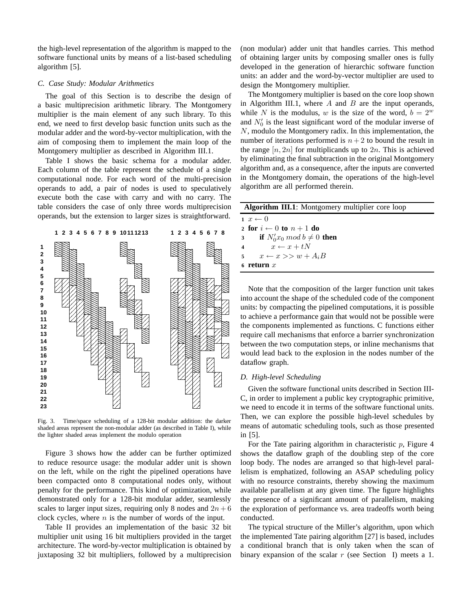the high-level representation of the algorithm is mapped to the software functional units by means of a list-based scheduling algorithm [5].

# *C. Case Study: Modular Arithmetics*

The goal of this Section is to describe the design of a basic multiprecision arithmetic library. The Montgomery multiplier is the main element of any such library. To this end, we need to first develop basic function units such as the modular adder and the word-by-vector multiplication, with the aim of composing them to implement the main loop of the Montgomery multiplier as described in Algorithm III.1.

Table I shows the basic schema for a modular adder. Each column of the table represent the schedule of a single computational node. For each word of the multi-precision operands to add, a pair of nodes is used to speculatively execute both the case with carry and with no carry. The table considers the case of only three words multiprecision operands, but the extension to larger sizes is straightforward.



Fig. 3. Time/space scheduling of a 128-bit modular addition: the darker shaded areas represent the non-modular adder (as described in Table I), while the lighter shaded areas implement the modulo operation

Figure 3 shows how the adder can be further optimized to reduce resource usage: the modular adder unit is shown on the left, while on the right the pipelined operations have been compacted onto 8 computational nodes only, without penalty for the performance. This kind of optimization, while demonstrated only for a 128-bit modular adder, seamlessly scales to larger input sizes, requiring only 8 nodes and  $2n+6$ clock cycles, where  $n$  is the number of words of the input.

Table II provides an implementation of the basic 32 bit multiplier unit using 16 bit multipliers provided in the target architecture. The word-by-vector multiplication is obtained by juxtaposing 32 bit multipliers, followed by a multiprecision (non modular) adder unit that handles carries. This method of obtaining larger units by composing smaller ones is fully developed in the generation of hierarchic software function units: an adder and the word-by-vector multiplier are used to design the Montgomery multiplier.

The Montgomery multiplier is based on the core loop shown in Algorithm III.1, where  $A$  and  $B$  are the input operands, while N is the modulus, w is the size of the word,  $b = 2^w$ and  $N_0'$  is the least significant word of the modular inverse of  $N$ , modulo the Montgomery radix. In this implementation, the number of iterations performed is  $n+2$  to bound the result in the range  $[n, 2n]$  for multiplicands up to  $2n$ . This is achieved by eliminating the final subtraction in the original Montgomery algorithm and, as a consequence, after the inputs are converted in the Montgomery domain, the operations of the high-level algorithm are all performed therein.

| $x \leftarrow 0$                                 |
|--------------------------------------------------|
|                                                  |
| 2 for $i \leftarrow 0$ to $n + 1$ do             |
| if $N'_0x_0 \mod b \neq 0$ then<br>$3^{\circ}$   |
| $x \leftarrow x + tN$<br>$\sim$ 4                |
| $x \leftarrow x \gt\gt w + A_i B$<br>$5^{\circ}$ |
| 6 return $x$                                     |

Note that the composition of the larger function unit takes into account the shape of the scheduled code of the component units: by compacting the pipelined computations, it is possible to achieve a performance gain that would not be possible were the components implemented as functions. C functions either require call mechanisms that enforce a barrier synchronization between the two computation steps, or inline mechanisms that would lead back to the explosion in the nodes number of the dataflow graph.

# *D. High-level Scheduling*

Given the software functional units described in Section III-C, in order to implement a public key cryptographic primitive, we need to encode it in terms of the software functional units. Then, we can explore the possible high-level schedules by means of automatic scheduling tools, such as those presented in [5].

For the Tate pairing algorithm in characteristic  $p$ , Figure 4 shows the dataflow graph of the doubling step of the core loop body. The nodes are arranged so that high-level parallelism is emphatized, following an ASAP scheduling policy with no resource constraints, thereby showing the maximum available parallelism at any given time. The figure highlights the presence of a significant amount of parallelism, making the exploration of performance vs. area tradeoffs worth being conducted.

The typical structure of the Miller's algorithm, upon which the implemented Tate pairing algorithm [27] is based, includes a conditional branch that is only taken when the scan of binary expansion of the scalar  $r$  (see Section I) meets a 1.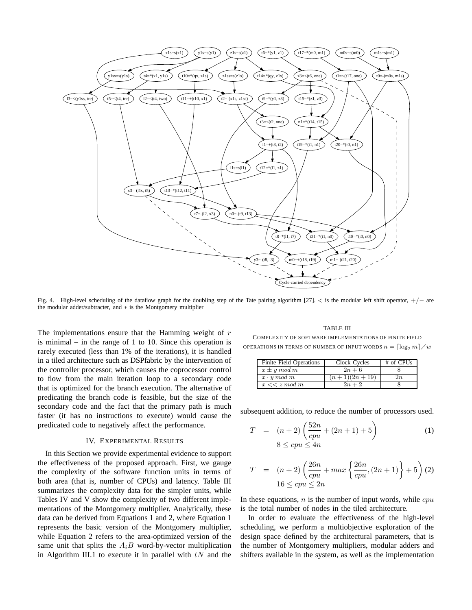

Fig. 4. High-level scheduling of the dataflow graph for the doubling step of the Tate pairing algorithm [27]. < is the modular left shift operator, +/− are the modular adder/subtracter, and ∗ is the Montgomery multiplier

The implementations ensure that the Hamming weight of  $r$ is minimal – in the range of 1 to 10. Since this operation is rarely executed (less than 1% of the iterations), it is handled in a tiled architecture such as DSPfabric by the intervention of the controller processor, which causes the coprocessor control to flow from the main iteration loop to a secondary code that is optimized for the branch execution. The alternative of predicating the branch code is feasible, but the size of the secondary code and the fact that the primary path is much faster (it has no instructions to execute) would cause the predicated code to negatively affect the performance.

### IV. EXPERIMENTAL RESULTS

In this Section we provide experimental evidence to support the effectiveness of the proposed approach. First, we gauge the complexity of the software function units in terms of both area (that is, number of CPUs) and latency. Table III summarizes the complexity data for the simpler units, while Tables IV and V show the complexity of two different implementations of the Montgomery multiplier. Analytically, these data can be derived from Equations 1 and 2, where Equation 1 represents the basic version of the Montgomery multiplier, while Equation 2 refers to the area-optimized version of the same unit that splits the  $A_iB$  word-by-vector multiplication in Algorithm III.1 to execute it in parallel with  $tN$  and the

TABLE III COMPLEXITY OF SOFTWARE IMPLEMENTATIONS OF FINITE FIELD OPERATIONS IN TERMS OF NUMBER OF INPUT WORDS  $n = \lceil \log_2 m \rceil / w$ 

| Finite Field Operations | Clock Cycles   | # of CPUs |
|-------------------------|----------------|-----------|
| $x \pm y \mod m$        | $2n+6$         |           |
| $x \cdot y \mod m$      | $(n+1)(2n+19)$ | 2n        |
| $x \ll z \mod m$        | $2n+2$         |           |

subsequent addition, to reduce the number of processors used.

$$
T = (n+2)\left(\frac{52n}{cpu} + (2n+1) + 5\right)
$$
  
8 \le cpu \le 4n (1)

$$
T = (n+2) \left( \frac{26n}{cpu} + max \left\{ \frac{26n}{cpu}, (2n+1) \right\} + 5 \right) (2) 16 \le cpu \le 2n
$$

In these equations,  $n$  is the number of input words, while  $cpu$ is the total number of nodes in the tiled architecture.

In order to evaluate the effectiveness of the high-level scheduling, we perform a multiobjective exploration of the design space defined by the architectural parameters, that is the number of Montgomery multipliers, modular adders and shifters available in the system, as well as the implementation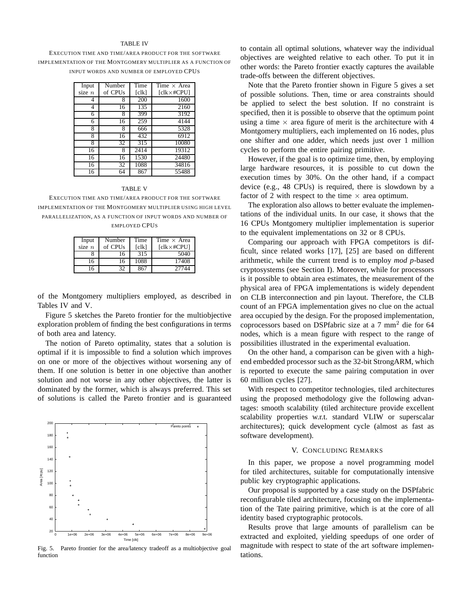#### TABLE IV

EXECUTION TIME AND TIME/AREA PRODUCT FOR THE SOFTWARE IMPLEMENTATION OF THE MONTGOMERY MULTIPLIER AS A FUNCTION OF INPUT WORDS AND NUMBER OF EMPLOYED CPUS

| Input    | Number  | Time  | Time $\times$ Area  |
|----------|---------|-------|---------------------|
| size $n$ | of CPUs | [clk] | [clk $\times$ #CPU] |
| 4        | 8       | 200   | 1600                |
| 4        | 16      | 135   | 2160                |
| 6        | 8       | 399   | 3192                |
| 6        | 16      | 259   | 4144                |
| 8        | 8       | 666   | 5328                |
| 8        | 16      | 432   | 6912                |
| 8        | 32      | 315   | 10080               |
| 16       | 8       | 2414  | 19312               |
| 16       | 16      | 1530  | 24480               |
| 16       | 32      | 1088  | 34816               |
| 16       | 64      | 867   | 55488               |

#### TABLE V

EXECUTION TIME AND TIME/AREA PRODUCT FOR THE SOFTWARE IMPLEMENTATION OF THE MONTGOMERY MULTIPLIER USING HIGH LEVEL PARALLELIZATION, AS A FUNCTION OF INPUT WORDS AND NUMBER OF EMPLOYED CPUS

| Input    | Number  | Time  | Time $\times$ Area  |
|----------|---------|-------|---------------------|
| size $n$ | of CPUs | [clk] | $[clk \times #CPU]$ |
|          | 16      | 315   | 5040                |
| 16       | 16      | 1088  | 17408               |
| 16       | -32     | 367   | 27744               |

of the Montgomery multipliers employed, as described in Tables IV and V.

Figure 5 sketches the Pareto frontier for the multiobjective exploration problem of finding the best configurations in terms of both area and latency.

The notion of Pareto optimality, states that a solution is optimal if it is impossible to find a solution which improves on one or more of the objectives without worsening any of them. If one solution is better in one objective than another solution and not worse in any other objectives, the latter is dominated by the former, which is always preferred. This set of solutions is called the Pareto frontier and is guaranteed



Fig. 5. Pareto frontier for the area/latency tradeoff as a multiobjective goal function

to contain all optimal solutions, whatever way the individual objectives are weighted relative to each other. To put it in other words: the Pareto frontier exactly captures the available trade-offs between the different objectives.

Note that the Pareto frontier shown in Figure 5 gives a set of possible solutions. Then, time or area constraints should be applied to select the best solution. If no constraint is specified, then it is possible to observe that the optimum point using a time  $\times$  area figure of merit is the architecture with 4 Montgomery multipliers, each implemented on 16 nodes, plus one shifter and one adder, which needs just over 1 million cycles to perform the entire pairing primitive.

However, if the goal is to optimize time, then, by employing large hardware resources, it is possible to cut down the execution times by 30%. On the other hand, if a compact device (e.g., 48 CPUs) is required, there is slowdown by a factor of 2 with respect to the time  $\times$  area optimum.

The exploration also allows to better evaluate the implementations of the individual units. In our case, it shows that the 16 CPUs Montgomery multiplier implementation is superior to the equivalent implementations on 32 or 8 CPUs.

Comparing our approach with FPGA competitors is difficult, since related works [17], [25] are based on different arithmetic, while the current trend is to employ *mod p*-based cryptosystems (see Section I). Moreover, while for processors is it possible to obtain area estimates, the measurement of the physical area of FPGA implementations is widely dependent on CLB interconnection and pin layout. Therefore, the CLB count of an FPGA implementation gives no clue on the actual area occupied by the design. For the proposed implementation, coprocessors based on DSPfabric size at a 7 mm<sup>2</sup> die for 64 nodes, which is a mean figure with respect to the range of possibilities illustrated in the experimental evaluation.

On the other hand, a comparison can be given with a highend embedded processor such as the 32-bit StrongARM, which is reported to execute the same pairing computation in over 60 million cycles [27].

With respect to competitor technologies, tiled architectures using the proposed methodology give the following advantages: smooth scalability (tiled architecture provide excellent scalability properties w.r.t. standard VLIW or superscalar architectures); quick development cycle (almost as fast as software development).

### V. CONCLUDING REMARKS

In this paper, we propose a novel programming model for tiled architectures, suitable for computationally intensive public key cryptographic applications.

Our proposal is supported by a case study on the DSPfabric reconfigurable tiled architecture, focusing on the implementation of the Tate pairing primitive, which is at the core of all identity based cryptographic protocols.

Results prove that large amounts of parallelism can be extracted and exploited, yielding speedups of one order of magnitude with respect to state of the art software implementations.